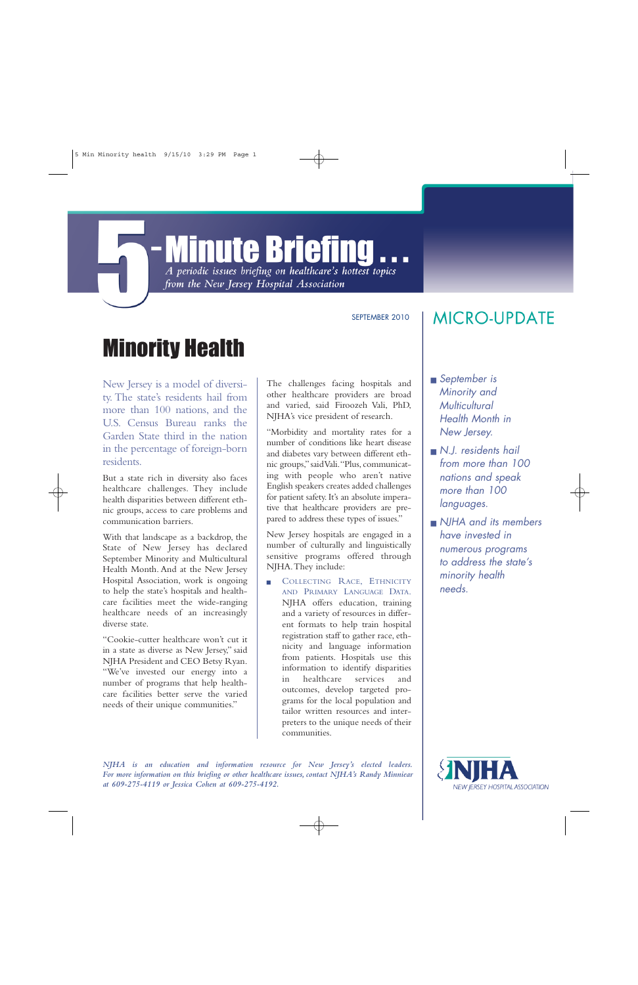## **Minute Briefing** A periodic issues briefing on healthcare's hottest topics

from the New Jersey Hospital Association

SEPTEMBER 2010

## Minority Health

New Jersey is a model of diversity. The state's residents hail from more than 100 nations, and the U.S. Census Bureau ranks the Garden State third in the nation in the percentage of foreign-born residents.

But a state rich in diversity also faces healthcare challenges. They include health disparities between different ethnic groups, access to care problems and communication barriers.

With that landscape as a backdrop, the State of New Jersey has declared September Minority and Multicultural Health Month. And at the New Jersey Hospital Association, work is ongoing to help the state's hospitals and healthcare facilities meet the wide-ranging healthcare needs of an increasingly diverse state.

"Cookie-cutter healthcare won't cut it in a state as diverse as New Jersey," said NJHA President and CEO Betsy Ryan. "We've invested our energy into a number of programs that help healthcare facilities better serve the varied needs of their unique communities."

The challenges facing hospitals and other healthcare providers are broad and varied, said Firoozeh Vali, PhD, NJHA's vice president of research.

"Morbidity and mortality rates for a number of conditions like heart disease and diabetes vary between different ethnic groups,"said Vali."Plus,communicating with people who aren't native English speakers creates added challenges for patient safety. It's an absolute imperative that healthcare providers are prepared to address these types of issues."

New Jersey hospitals are engaged in a number of culturally and linguistically sensitive programs offered through NJHA.They include:

- COLLECTING RACE, ETHNICITY AND PRIMARY LANGUAGE DATA. NJHA offers education, training and a variety of resources in different formats to help train hospital registration staff to gather race, ethnicity and language information from patients. Hospitals use this information to identify disparities in healthcare services and outcomes, develop targeted programs for the local population and tailor written resources and interpreters to the unique needs of their communities.

## **MICRO-UPDATE**

- September is Minority and **Multicultural** Health Month in New Jersey.
- $\blacksquare$  N.J. residents hail from more than 100 nations and speak more than 100 languages.
- $\blacksquare$  NJHA and its members have invested in numerous programs to address the state's minority health needs.

*NJHA is an education and information resource for New Jersey's elected leaders. For more information on this briefing or other healthcare issues, contact NJHA's Randy Minniear at 609-275-4119 or Jessica Cohen at 609-275-4192.*